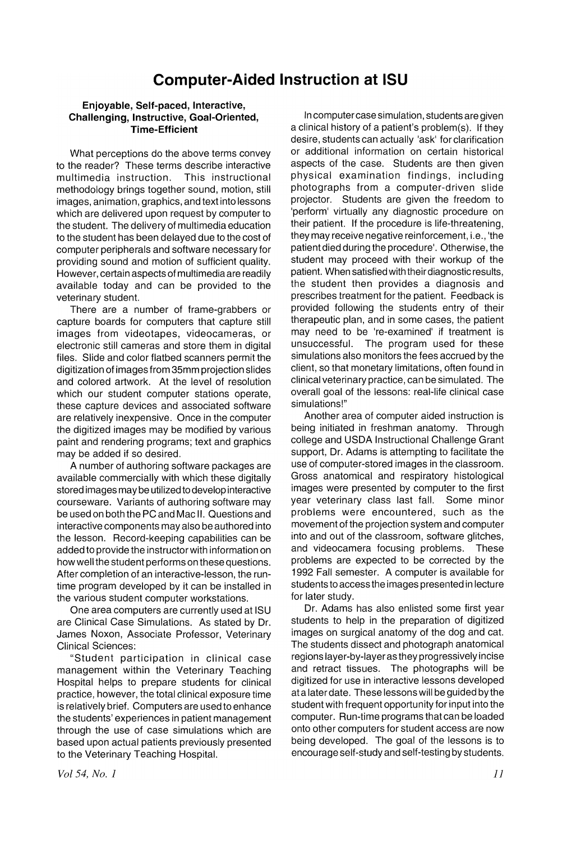## **Computer-Aided Instruction at ISU**

## **Enjoyable, Self-paced, Interactive, Challenging, Instructive, Goal-Oriented, Time-Efficient**

What perceptions do the above terms convey to the reader? These terms describe interactive multimedia instruction. This instructional methodology brings together sound, motion, still images, animation, graphics, and text into lessons which are delivered upon request by computer to the student. The delivery of multimedia education to the student has been delayed due to the cost of computer peripherals and software necessary for providing sound and motion of sufficient quality. However, certain aspects of multimedia are readily available today and can be provided to the veterinary student.

There are a number of frame-grabbers or capture boards for computers that capture still images from videotapes, videocameras, or electronic still cameras and store them in digital files. Slide and color flatbed scanners permit the digitization of images from 35mm projection slides and colored artwork. At the level of resolution which our student computer stations operate, these capture devices and associated software are relatively inexpensive. Once in the computer the digitized images may be modified by various paint and rendering programs; text and graphics may be added if so desired.

A number of authoring software packages are available commercially with which these digitally stored images may be utilized to develop interactive courseware. Variants of authoring software may be used on both the PC and Mac II. Questions and interactive components may also be authored into the lesson. Record-keeping capabilities can be added to provide the instructorwith information on how well the student performs on these questions. After completion of an interactive-lesson, the runtime program developed by it can be installed in the various student computer workstations.

One area computers are currently used at ISU are Clinical Case Simulations. As stated by Dr. James Noxon, Associate Professor, Veterinary Clinical Sciences:

"Student participation in clinical case management within the Veterinary Teaching Hospital helps to prepare students for clinical practice, however, the total clinical exposure time is relatively brief. Computers are used to enhance the students' experiences in patient management through the use of case simulations which are based upon actual patients previously presented to the Veterinary Teaching Hospital.

In computer case simulation, students are given a clinical history of a patient's problem(s). If they desire, students can actually 'ask' for clarification or additional information on certain historical aspects of the case. Students are then given physical examination findings, including photographs from a computer-driven slide projector. Students are given the freedom to 'perform' virtually any diagnostic procedure on their patient. If the procedure is life-threatening, they may receive negative reinforcement, i.e., 'the patient died during the procedure'. Otherwise, the student may proceed with their workup of the patient. When satisfied with their diagnostic results, the student then provides a diagnosis and prescribes treatment for the patient. Feedback is provided following the students entry of their therapeutic plan, and in some cases, the patient may need to be 're-examined' if treatment is unsuccessful. The program used for these The program used for these simulations also monitors the fees accrued by the client, so that monetary limitations, often found in clinical veterinary practice, can be simulated. The overall goal of the lessons: real-life clinical case simulations!"

Another area of computer aided instruction is being initiated in freshman anatomy. Through college and USDA Instructional Challenge Grant support, Dr. Adams is attempting to facilitate the use of computer-stored images in the classroom. Gross anatomical and respiratory histological images were presented by computer to the first year veterinary class last fall. Some minor problems were encountered, such as the movement of the projection system and computer into and out of the classroom, software glitches, and videocamera focusing problems. These and videocamera focusing problems. problems are expected to be corrected by the 1992 Fall semester. A computer is available for students to access the images presented in lecture for later study.

Dr. Adams has also enlisted some first year students to help in the preparation of digitized images on surgical anatomy of the dog and cat. The students dissect and photograph anatomical regions layer-by-layeras they progressively incise and retract tissues. The photographs will be digitized for use in interactive lessons developed at a later date. These lessons will be guided by the student with frequent opportunity for input into the computer. Run-time programs that can be loaded onto other computers for student access are now being developed. The goal of the lessons is to encourage self-study and self-testing by students.

*Vol* 54, *No.1*